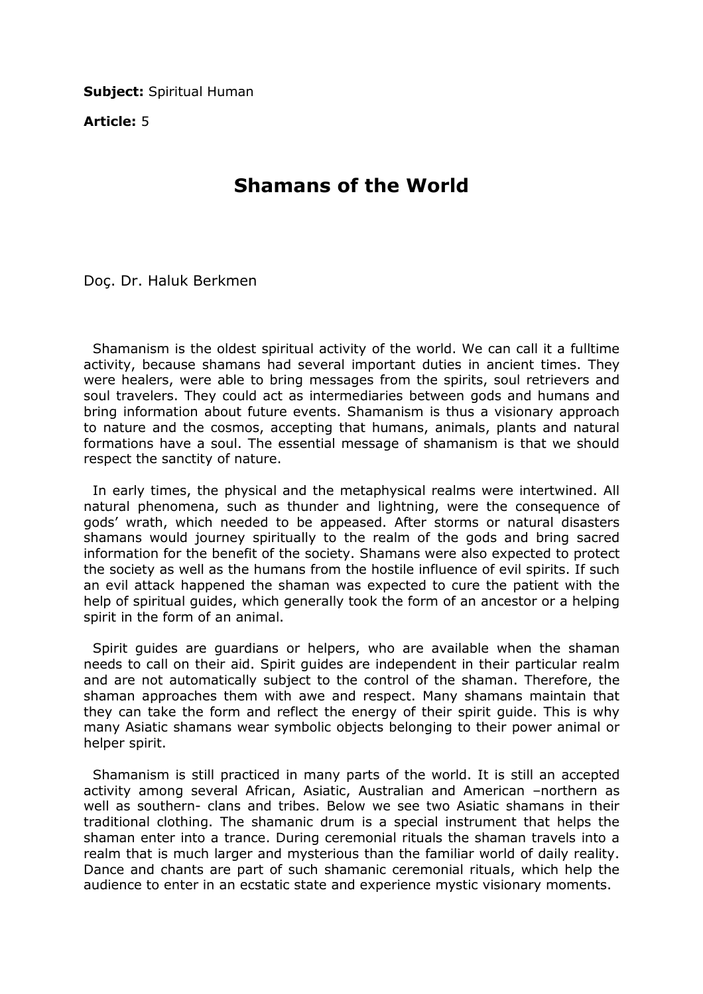**Subject: Spiritual Human** 

Article: 5

## Shamans of the World

Doç. Dr. Haluk Berkmen

 Shamanism is the oldest spiritual activity of the world. We can call it a fulltime activity, because shamans had several important duties in ancient times. They were healers, were able to bring messages from the spirits, soul retrievers and soul travelers. They could act as intermediaries between gods and humans and bring information about future events. Shamanism is thus a visionary approach to nature and the cosmos, accepting that humans, animals, plants and natural formations have a soul. The essential message of shamanism is that we should respect the sanctity of nature.

 In early times, the physical and the metaphysical realms were intertwined. All natural phenomena, such as thunder and lightning, were the consequence of gods' wrath, which needed to be appeased. After storms or natural disasters shamans would journey spiritually to the realm of the gods and bring sacred information for the benefit of the society. Shamans were also expected to protect the society as well as the humans from the hostile influence of evil spirits. If such an evil attack happened the shaman was expected to cure the patient with the help of spiritual guides, which generally took the form of an ancestor or a helping spirit in the form of an animal.

 Spirit guides are guardians or helpers, who are available when the shaman needs to call on their aid. Spirit guides are independent in their particular realm and are not automatically subject to the control of the shaman. Therefore, the shaman approaches them with awe and respect. Many shamans maintain that they can take the form and reflect the energy of their spirit guide. This is why many Asiatic shamans wear symbolic objects belonging to their power animal or helper spirit.

 Shamanism is still practiced in many parts of the world. It is still an accepted activity among several African, Asiatic, Australian and American –northern as well as southern- clans and tribes. Below we see two Asiatic shamans in their traditional clothing. The shamanic drum is a special instrument that helps the shaman enter into a trance. During ceremonial rituals the shaman travels into a realm that is much larger and mysterious than the familiar world of daily reality. Dance and chants are part of such shamanic ceremonial rituals, which help the audience to enter in an ecstatic state and experience mystic visionary moments.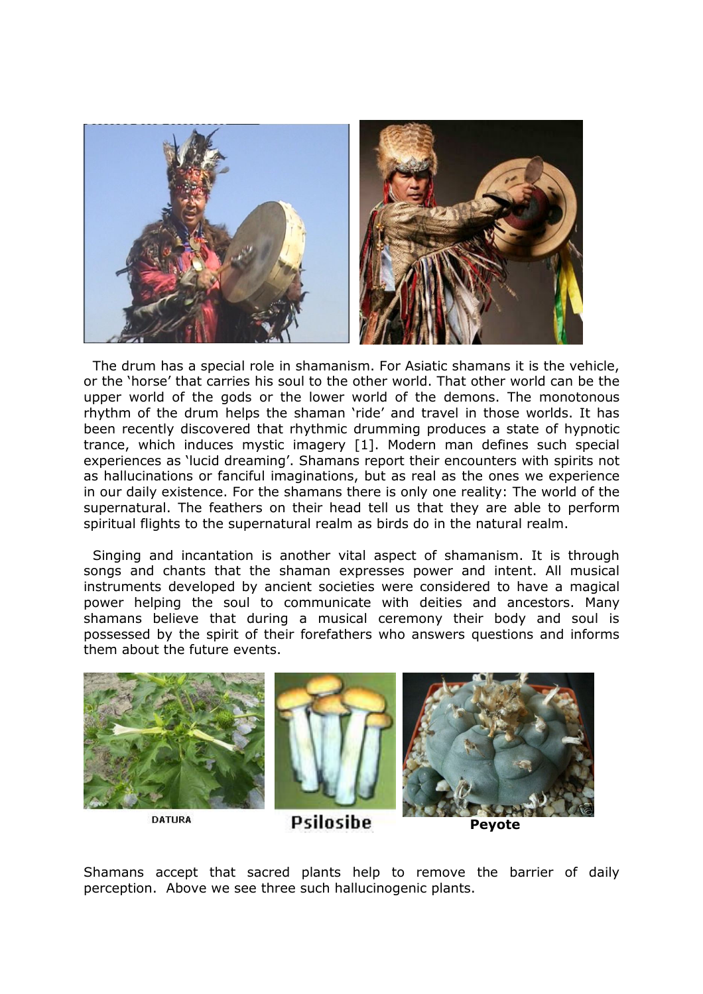

 The drum has a special role in shamanism. For Asiatic shamans it is the vehicle, or the 'horse' that carries his soul to the other world. That other world can be the upper world of the gods or the lower world of the demons. The monotonous rhythm of the drum helps the shaman 'ride' and travel in those worlds. It has been recently discovered that rhythmic drumming produces a state of hypnotic trance, which induces mystic imagery [1]. Modern man defines such special experiences as 'lucid dreaming'. Shamans report their encounters with spirits not as hallucinations or fanciful imaginations, but as real as the ones we experience in our daily existence. For the shamans there is only one reality: The world of the supernatural. The feathers on their head tell us that they are able to perform spiritual flights to the supernatural realm as birds do in the natural realm.

 Singing and incantation is another vital aspect of shamanism. It is through songs and chants that the shaman expresses power and intent. All musical instruments developed by ancient societies were considered to have a magical power helping the soul to communicate with deities and ancestors. Many shamans believe that during a musical ceremony their body and soul is possessed by the spirit of their forefathers who answers questions and informs them about the future events.



**Psilosibe** 

Peyote

Shamans accept that sacred plants help to remove the barrier of daily perception. Above we see three such hallucinogenic plants.